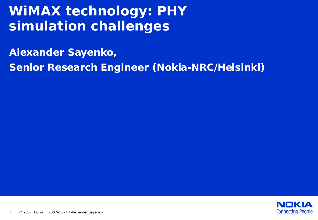# **WiMAX technology: PHY simulation challenges**

**Alexander Sayenko,** 

**Senior Research Engineer (Nokia-NRC/Helsinki)**

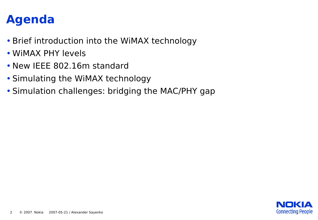### **Agenda**

- •Brief introduction into the WiMAX technology
- WiMAX PHY levels
- New IEEE 802.16m standard
- Simulating the WiMAX technology
- Simulation challenges: bridging the MAC/PHY gap

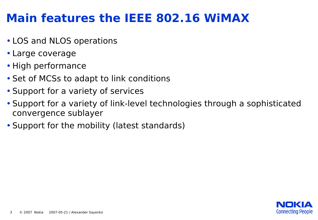### **Main features the IEEE 802.16 WiMAX**

- LOS and NLOS operations
- Large coverage
- High performance
- Set of MCSs to adapt to link conditions
- Support for a variety of services
- Support for a variety of link-level technologies through a sophisticated convergence sublayer
- Support for the mobility (latest standards)

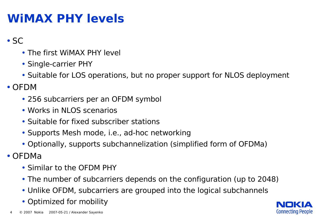#### **WiMAX PHY levels**

- SC
	- The first WiMAX PHY level
	- Single-carrier PHY
	- Suitable for LOS operations, but no proper support for NLOS deployment

• OFDM

- 256 subcarriers per an OFDM symbol
- Works in NLOS scenarios
- Suitable for fixed subscriber stations
- Supports Mesh mode, i.e., ad-hoc networking
- Optionally, supports subchannelization (simplified form of OFDMa)

• OFDMa

- Similar to the OFDM PHY
- The number of subcarriers depends on the configuration (up to 2048)
- Unlike OFDM, subcarriers are grouped into the logical subchannels
- Optimized for mobility

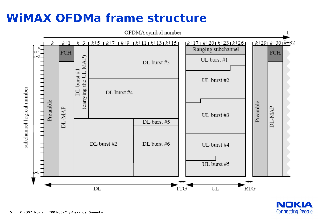### **WiMAX OFDMa frame structure**



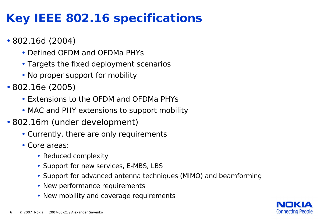## **Key IEEE 802.16 specifications**

- 802.16d (2004)
	- Defined OFDM and OFDMa PHYs
	- Targets the fixed deployment scenarios
	- No proper support for mobility
- 802.16e (2005)
	- Extensions to the OFDM and OFDMa PHYs
	- MAC and PHY extensions to support mobility
- 802.16m (under development)
	- Currently, there are only requirements
	- Core areas:
		- Reduced complexity
		- Support for new services, E-MBS, LBS
		- Support for advanced antenna techniques (MIMO) and beamforming
		- New performance requirements
		- New mobility and coverage requirements

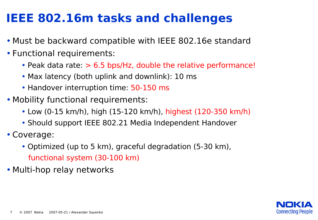### **IEEE 802.16m tasks and challenges**

- Must be backward compatible with IEEE 802.16e standard
- Functional requirements:
	- Peak data rate:  $> 6.5$  bps/Hz, double the relative performance!
	- Max latency (both uplink and downlink): 10 ms
	- Handover interruption time: 50-150 ms
- Mobility functional requirements:
	- Low (0-15 km/h), high (15-120 km/h), highest (120-350 km/h)
	- Should support IEEE 802.21 Media Independent Handover
- •Coverage:
	- Optimized (up to 5 km), graceful degradation (5-30 km), functional system (30-100 km)
- Multi-hop relay networks

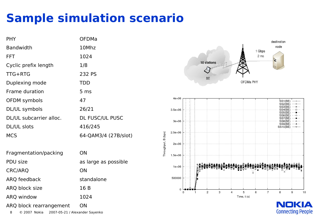# **Sample simulation scenario**

| <b>PHY</b>              | <b>OFDMa</b>           |
|-------------------------|------------------------|
| <b>Bandwidth</b>        | 10Mhz                  |
| <b>FFT</b>              | 1024                   |
| Cyclic prefix length    | 1/8                    |
| $TTG+RTG$               | 232 PS                 |
| Duplexing mode          | <b>TDD</b>             |
| Frame duration          | 5 <sub>ms</sub>        |
| OFDM symbols            | 47                     |
| DL/UL symbols           | 26/21                  |
| DL/UL subcarrier alloc. | <b>DL FUSC/UL PUSC</b> |
| DL/UL slots             | 416/245                |
| <b>MCS</b>              | 64-QAM3/4 (27B/slot)   |
|                         |                        |

| Fragmentation/packing   | ΟN                   |
|-------------------------|----------------------|
| PDU size                | as large as possible |
| <b>CRC/ARQ</b>          | ON                   |
| <b>ARQ</b> feedback     | standalone           |
| ARQ block size          | 16 B                 |
| <b>ARQ window</b>       | 1024                 |
| ARQ block rearrangement | ON                   |

8 © 2007 Nokia 2007-05-21 / Alexander Sayenko





**NOKIA Connecting People**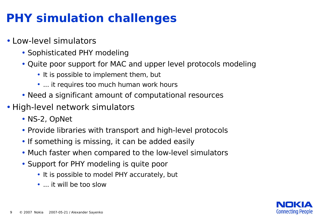# **PHY simulation challenges**

- Low-level simulators
	- Sophisticated PHY modeling
	- Quite poor support for MAC and upper level protocols modeling
		- It is possible to implement them, but
		- ... it requires too much human work hours
	- Need a significant amount of computational resources
- High-level network simulators
	- NS-2, OpNet
	- Provide libraries with transport and high-level protocols
	- If something is missing, it can be added easily
	- Much faster when compared to the low-level simulators
	- Support for PHY modeling is quite poor
		- It is possible to model PHY accurately, but
		- ... it will be too slow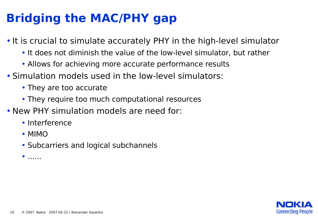# **Bridging the MAC/PHY gap**

- It is crucial to simulate accurately PHY in the high-level simulator
	- It does not diminish the value of the low-level simulator, but rather
	- Allows for achieving more accurate performance results
- Simulation models used in the low-level simulators:
	- They are too accurate
	- They require too much computational resources
- New PHY simulation models are need for:
	- Interference
	- MIMO
	- Subcarriers and logical subchannels

 $\bullet$  ......

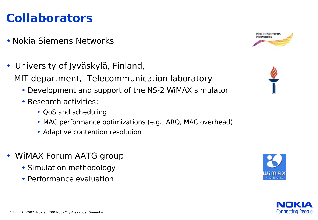## **Collaborators**

- Nokia Siemens Networks
- University of Jyväskylä, Finland, MIT department, Telecommunication laboratory
	- Development and support of the NS-2 WiMAX simulator
	- Research activities:
		- QoS and scheduling
		- MAC performance optimizations (e.g., ARQ, MAC overhead)
		- Adaptive contention resolution
- WiMAX Forum AATG group
	- Simulation methodology
	- Performance evaluation